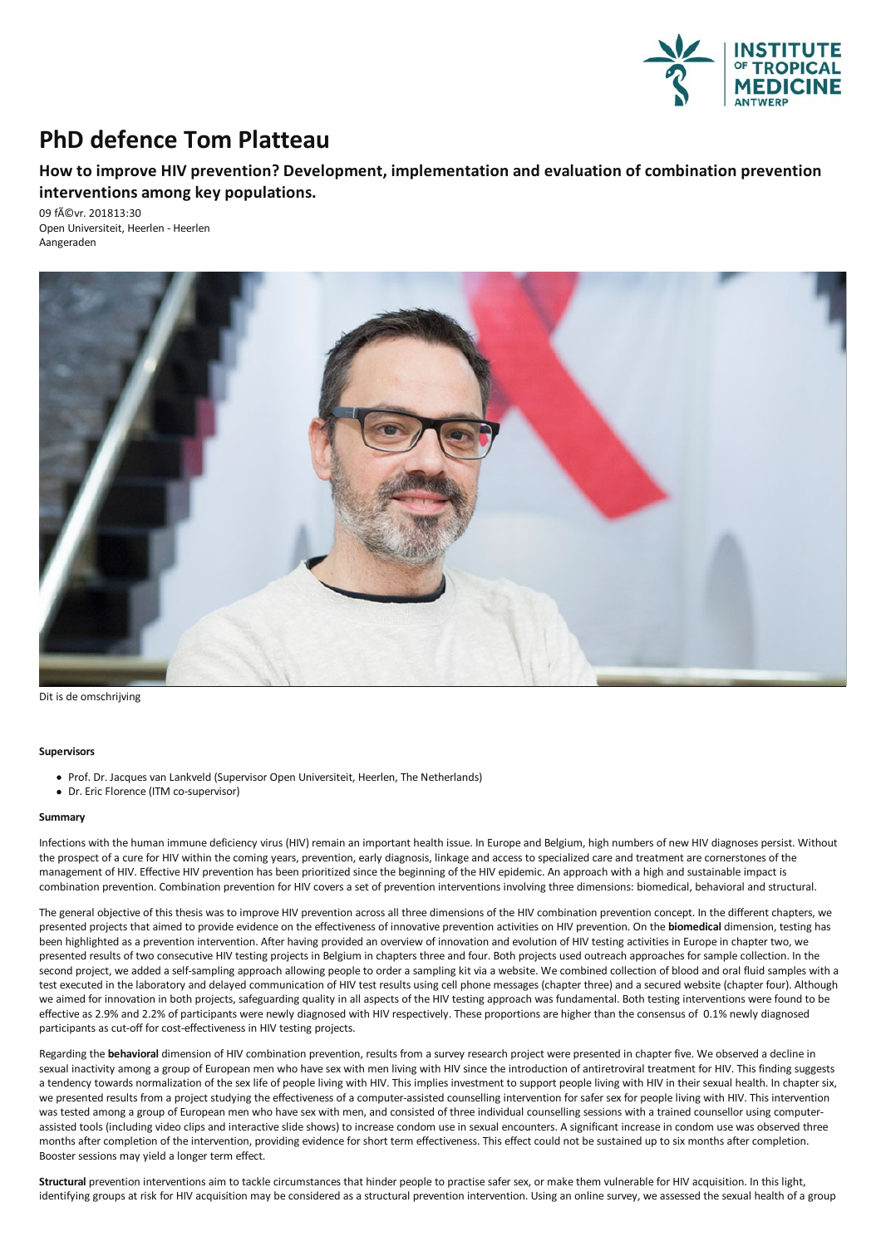

## **PhD defence Tom Platteau**

## **How to improve HIV prevention? Development, implementation and evaluation of combination prevention interventions** among key populations.

09 févr. 201813:30 Open Universiteit, Heerlen - Heerlen Aangeraden



Dit is de omschrijving

## **Supervisors**

- Prof. Dr. Jacques van Lankveld (Supervisor Open Universiteit, Heerlen, The Netherlands)
- Dr.Eric Florence (ITM co-supervisor)

## **Summary**

Infections with the human immune deficiency virus (HIV) remain an important health issue. In Europe and Belgium, high numbers of new HIV diagnoses persist. Without the prospect of a cure for HIV within the coming years, prevention, early diagnosis, linkage and access to specialized care and treatment are cornerstones of the<br>management of HIV. Effective HIV prevention has been priorit combination prevention. Combination prevention for HIV coversaset of prevention interventions involving three dimensions: biomedical, behavioral and structural.

The general objective of this thesis was to improve HIV prevention acrossall three dimensions of the HIV combination prevention concept. In the different chapters, we presented projects that aimed to provide evidence on the effectiveness of innovative prevention activities on HIV prevention. On the **biomedical** dimension, testing has been highlighted as a prevention intervention. After having provided an overview of innovation and evolution of HIV testing activities in Europe in chapter two, we presented results of two consecutive HIV testing projects in Belgium in chapters three and four. Both projects used outreach approaches for sample collection. In the second project, we added a self-sampling approach allowing people to order a sampling kit via a website. We combined collection of blood and oral fluid samples with a test executed in the laboratory and delaved communicati we aimed for innovation in both projects, safeguarding quality in all aspects of the HIV testing approach was fundamental. Both testing interventions were found to be effective as 2.9% and 2.2% of participants were newly diagnosed with HIV respectively. These proportions are higher than the consensus of 0.1% newly diagnosed participants as cut-off for cost-effectiveness in HIV testing projects.

Regarding the **behavioral** dimension of HIV combination prevention, results from asurvey research project were presented in chapter five. We observed a decline in sexual inactivity among a group of European men who have sex with men living with HIV since the introduction of antiretroviral treatment for HIV. This finding suggests a tendency towards normalization of the sex life of people living with HIV. This implies investment to support people living with HIV in their sexual health. In chapter six, we presented results from a project studying the was tested among a group of European men who have sex with men, and consisted of three individual counselling sessions with a trained counsellor using computer-<br>assisted tools (including video clips and interactive slide s months after completion of the intervention, providing evidence for short term effectiveness. This effect could not be sustained up to six months after completion. Booster sessions may yield alonger term effect.

Structural prevention interventions aim to tackle circumstances that hinder people to practise safer sex, or make them vulnerable for HIV acquisition. In this light, identifying groups at risk for HIV acquisition may be considered as a structural prevention intervention. Using an online survey, we assessed the sexual health of a group